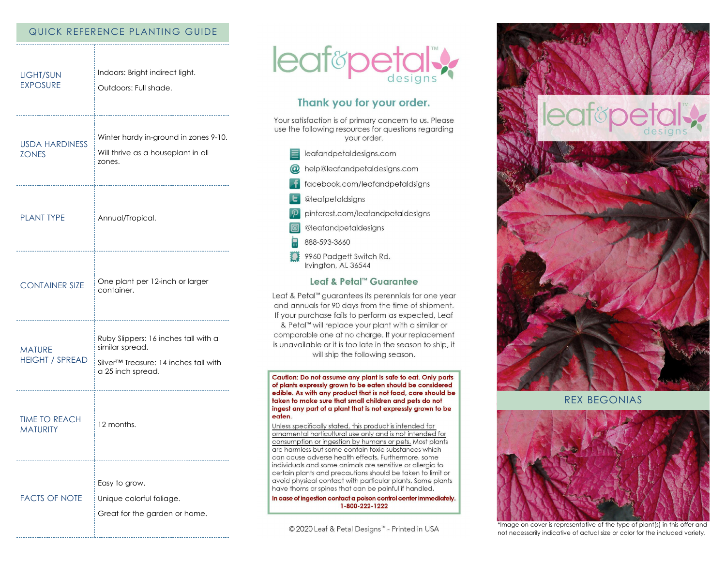## QUICK REFERENCE PLANTING GUIDE

| <b>LIGHT/SUN</b><br><b>EXPOSURE</b>                   | Indoors: Bright indirect light.<br>Outdoors: Full shade.                                                                                                       |
|-------------------------------------------------------|----------------------------------------------------------------------------------------------------------------------------------------------------------------|
| <b>USDA HARDINESS</b><br><b>ZONES</b>                 | Winter hardy in-ground in zones 9-10.<br>Will thrive as a houseplant in all<br>zones.                                                                          |
| <b>PLANT TYPE</b><br>-------------------------------  | Annual/Tropical.                                                                                                                                               |
| <b>CONTAINER SIZE</b><br>---------------------------- | One plant per 12-inch or larger<br>container.                                                                                                                  |
| <b>MATURE</b><br><b>HEIGHT / SPREAD</b>               | Ruby Slippers: 16 inches tall with a<br>similar spread.<br>Silver <sup>™</sup> Treasure: 14 inches tall with<br>a 25 inch spread.<br>------------------------- |
| <b>TIME TO REACH</b><br><b>MATURITY</b>               | 12 months.                                                                                                                                                     |
| <b>FACTS OF NOTE</b>                                  | Easy to grow.<br>Unique colorful foliage.<br>Great for the garden or home.                                                                                     |



# Thank you for your order.

Your satisfaction is of primary concern to us. Please use the following resources for questions regarding your order.

- $\equiv$  leafandpetaldesigns.com
- @ help@leafandpetaldesigns.com
- **i** facebook.com/leafandpetaldsigns
- **L** @leafpetaldsigns
- pinterest.com/leafandpetaldesigns
- @leafandpetaldesigns
- 888-593-3660
- 9960 Padgett Switch Rd. Irvington, AL 36544

### Leaf & Petal™ Guarantee

Leaf & Petal™ guarantees its perennials for one year and annuals for 90 days from the time of shipment. If your purchase fails to perform as expected, Leaf & Petal<sup>™</sup> will replace your plant with a similar or comparable one at no charge. If your replacement is unavailable or it is too late in the season to ship, it will ship the following season.

Caution: Do not assume any plant is safe to eat. Only parts of plants expressly grown to be eaten should be considered edible. As with any product that is not food, care should be taken to make sure that small children and pets do not ingest any part of a plant that is not expressly grown to be eaten.

Unless specifically stated, this product is intended for ornamental horticultural use only and is not intended for consumption or ingestion by humans or pets. Most plants are harmless but some contain toxic substances which can cause adverse health effects. Furthermore, some individuals and some animals are sensitive or allergic to certain plants and precautions should be taken to limit or avoid physical contact with particular plants. Some plants have thorns or spines that can be painful if handled.

In case of ingestion contact a poison control center immediately. 1-800-222-1222

© 2020 Leaf & Petal Designs™ - Printed in USA



**REX BEGONIAS** 



\*Image on cover is representative of the type of plant(s) in this offer and not necessarily indicative of actual size or color for the included variety.